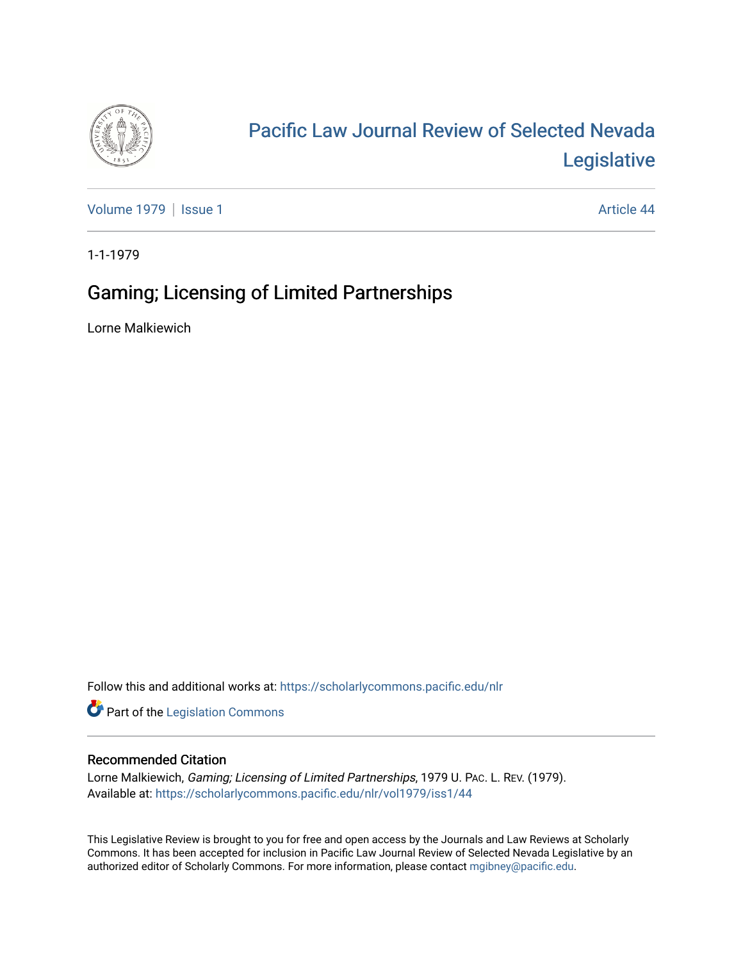

# [Pacific Law Journal Review of Selected Nevada](https://scholarlycommons.pacific.edu/nlr)  [Legislative](https://scholarlycommons.pacific.edu/nlr)

[Volume 1979](https://scholarlycommons.pacific.edu/nlr/vol1979) | [Issue 1](https://scholarlycommons.pacific.edu/nlr/vol1979/iss1) Article 44

1-1-1979

## Gaming; Licensing of Limited Partnerships

Lorne Malkiewich

Follow this and additional works at: [https://scholarlycommons.pacific.edu/nlr](https://scholarlycommons.pacific.edu/nlr?utm_source=scholarlycommons.pacific.edu%2Fnlr%2Fvol1979%2Fiss1%2F44&utm_medium=PDF&utm_campaign=PDFCoverPages) 

**Part of the [Legislation Commons](http://network.bepress.com/hgg/discipline/859?utm_source=scholarlycommons.pacific.edu%2Fnlr%2Fvol1979%2Fiss1%2F44&utm_medium=PDF&utm_campaign=PDFCoverPages)** 

### Recommended Citation

Lorne Malkiewich, Gaming; Licensing of Limited Partnerships, 1979 U. PAC. L. REV. (1979). Available at: [https://scholarlycommons.pacific.edu/nlr/vol1979/iss1/44](https://scholarlycommons.pacific.edu/nlr/vol1979/iss1/44?utm_source=scholarlycommons.pacific.edu%2Fnlr%2Fvol1979%2Fiss1%2F44&utm_medium=PDF&utm_campaign=PDFCoverPages)

This Legislative Review is brought to you for free and open access by the Journals and Law Reviews at Scholarly Commons. It has been accepted for inclusion in Pacific Law Journal Review of Selected Nevada Legislative by an authorized editor of Scholarly Commons. For more information, please contact [mgibney@pacific.edu](mailto:mgibney@pacific.edu).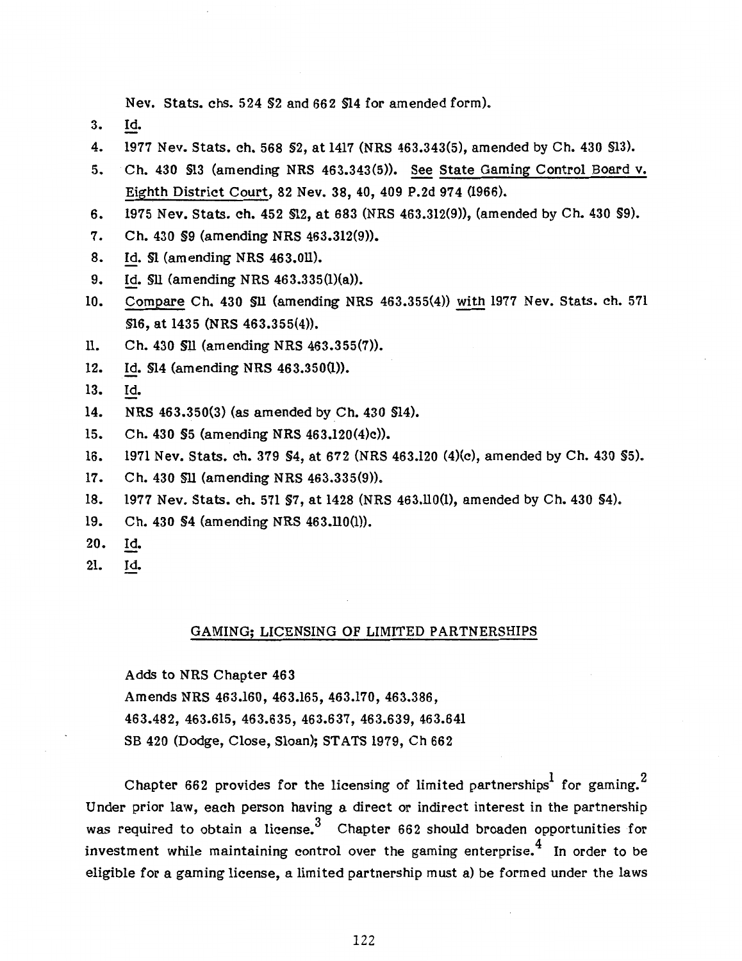Nev. Stats. chs. 524 §2 and 662 §14 for amended form).

- 3. Id.
- 4. 1977 Nev. Stats. ch. 568 §2, at 1417 (NRS 463.343(5), amended by Ch. 430 §13).
- 5. Ch. 430 §13 (amending NRS 463.343(5)). See State Gaming Control Board v. Eighth District Court, 82 Nev. 38, 40, 409 P.2d 974 (1966).
- 6. 1975 Nev. Stats. ch. 452 §12, at 683 (NRS 463.312(9)), (amended by Ch. 430 §9).
- 7. Ch. 430 §9 (amending NRS 463.312(9)).
- 8. Id. \$1 (amending NRS 463.011).
- 9. Id. §11 (amending NRS 463.335(l)(a)).
- 10. Compare Ch. 430 §11 (amending NRS 463.355(4)) with 1977 Nev. Stats. ch. 571 §16, at 1435 (NRS 463.355(4)).
- 11. Ch. 430 §11 (amending NRS 463.355(7)).
- 12. Id. §14 (amending NRS 463.350(1)).
- 13. Id.
- 14. NRS 463.350(3) (as amended by Ch. 430 §14).
- 15. Ch. 430 §5 (amending NRS 463.120(4)c)).
- 16. 1971 Nev. Stats. ch. 379 §4, at 672 (NRS 463.120 (4}(c), amended by Ch. 430 §5).
- 17. Ch. 430 §11 (amending NRS 463.335(9)).
- 18. 1977 Nev. Stats. ch. 571 §7, at 1428 (NRS 463.110(1), amended by Ch. 430 §4).
- 19. Ch. 430 §4 (amending NRS 463.110(1)).
- 20. Id.
- 21. Id.

#### GAMING; LICENSING OF LIMITED PARTNERSHIPS

Adds to NRS Chapter 463 Amends NRS 463.160, 463.165, 463.170, 463.386, 463.482, 463.615, 463.635, 463.637' 463.639, 463.641 SB 420 (Dodge, Close, Sloan); STATS 1979, Ch 662

Chapter 662 provides for the licensing of limited partnerships<sup>1</sup> for gaming.<sup>2</sup> Under prior law, each person having a direct or indirect interest in the partnership was required to obtain a license.<sup>3</sup> Chapter 662 should broaden opportunities for investment while maintaining control over the gaming enterprise. $4\,$  In order to be eligible for a gaming license, a limited partnership must a) be formed under the laws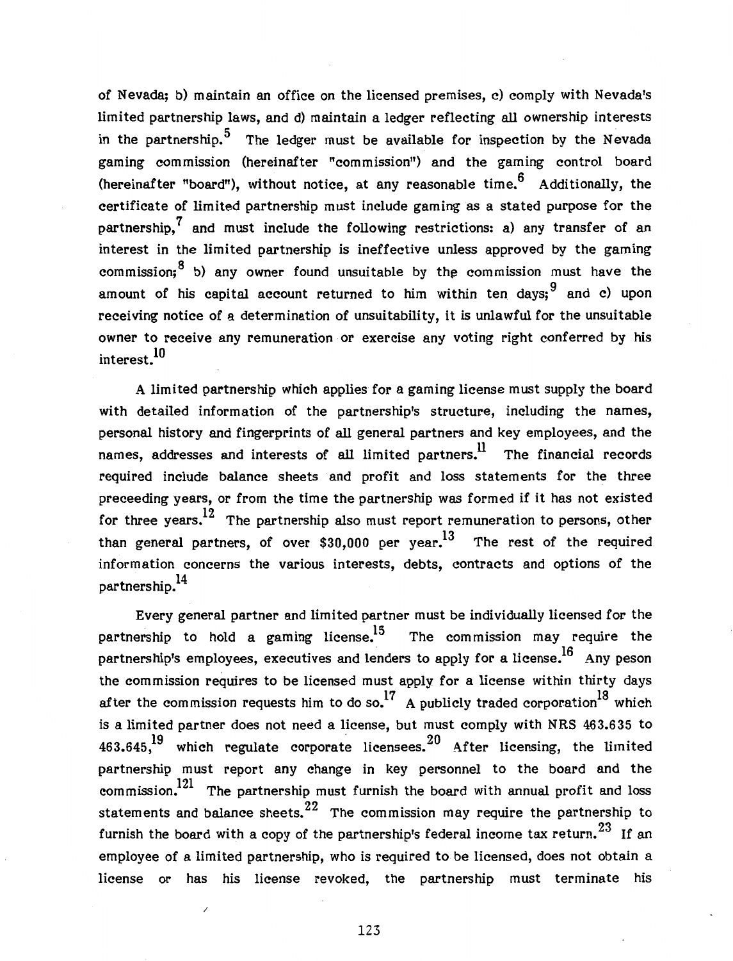of Nevada; b) maintain an office on the licensed premises, c) comply with Nevada's limited partnership laws, and d) maintain a ledger reflecting all ownership interests in the partnership.<sup>5</sup> The ledger must be available for inspection by the Nevada gaming commission (hereinafter "commission") and the gaming control board (hereinafter "board"), without notice, at any reasonable time.<sup>6</sup> Additionally, the certificate of limited partnership must include gaming as a stated purpose for the partnership,  $\frac{7}{1}$  and must include the following restrictions: a) any transfer of an interest in the limited partnership is ineffective unless approved by the gaming commission;  $8$  b) any owner found unsuitable by the commission must have the amount of his capital account returned to him within ten days;  $9^9$  and c) upon receiving notice of a determination of unsuitability, it is unlawful for the unsuitable owner to receive any remuneration or exercise any voting right conferred by his interest.10

A limited partnership which applies for a gaming license must supply the board with detailed information of the partnership's structure, including the names, personal history and fingerprints of all general partners and key employees, and the names, addresses and interests of all limited partners.<sup>11</sup> The financial records required include balance sheets and profit and loss statements for the three preceeding years, or from the time the partnership was formed if it has not existed for three years.<sup>12</sup> The partnership also must report remuneration to persons, other than general partners, of over \$30,000 per year.<sup>13</sup> The rest of the required information concerns the various interests, debts, contracts and options of the partnership. $^{14}$ 

Every general partner and limited partner must be individually licensed for the partnership to hold a gaming license.<sup>15</sup> The commission may require the partnership's employees, executives and lenders to apply for a license.<sup>16</sup> Any peson the commission requires to be licensed must apply for a license within thirty days after the commission requests him to do so.<sup>17</sup> A publicly traded corporation<sup>18</sup> which is a limited partner does not need a license, but must comply with NRS 463.635 to 463.645,<sup>19</sup> which regulate corporate licensees. <sup>20</sup> After licensing, the limited partnership must report any change in key personnel to the board and the commission.<sup>121</sup> The partnership must furnish the board with annual profit and loss statements and balance sheets.<sup>22</sup> The commission may require the partnership to furnish the board with a copy of the partnership's federal income tax return.  $^{23}\,$  If an employee of a limited partnership, who is required to be licensed, does not obtain a license or has his license revoked, the partnership must terminate his

123

/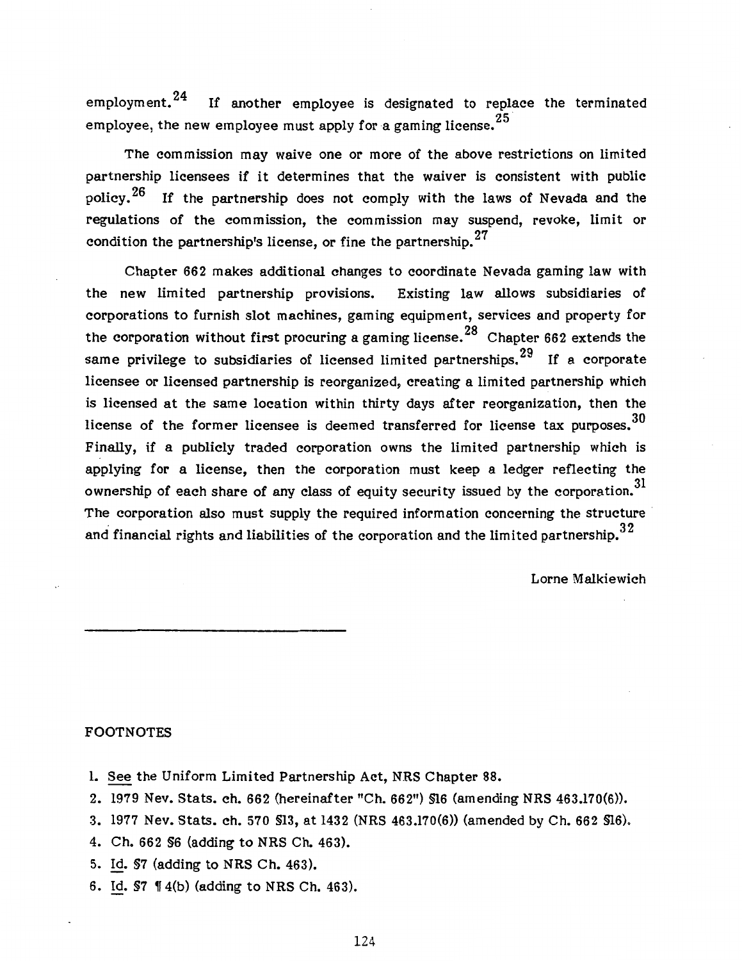employment.<sup>24</sup> If another employee is designated to replace the terminated employee, the new employee must apply for a gaming license.<sup>25</sup>

The commission may waive one or more of the above restrictions on limited partnership licensees if it determines that the waiver is consistent with public policy.  $26$  If the partnership does not comply with the laws of Nevada and the regulations of the commission, the commission may suspend, revoke, limit or condition the partnership's license, or fine the partnership.<sup>27</sup>

Chapter 662 makes additional changes to coordinate Nevada gaming law with the new limited partnership provisions. Existing law allows subsidiaries of corporations to furnish slot machines, gaming equipment, services and property for the corporation without first procuring a gaming license.<sup>28</sup> Chapter 662 extends the same privilege to subsidiaries of licensed limited partnerships.<sup>29</sup> If a corporate licensee or licensed partnership is reorganized, creating a limited partnership which is licensed at the same location within thirty days after reorganization, then the license of the former licensee is deemed transferred for license tax purposes. $^{\rm 30}$ Finally, if a publicly traded corporation owns the limited partnership which is applying for a license, then the corporation must keep a ledger reflecting the ownership of each share of any class of equity security issued by the corporation.<sup>31</sup> The corporation also must supply the required information concerning the structure and financial rights and liabilities of the corporation and the limited partnership.  $32$ 

Lorne Malkiewich

#### FOOTNOTES

- 1. See the Uniform Limited Partnership Act, NRS Chapter 88.
- 2. 1979 Nev. Stats. ch. 662 (hereinafter "Ch. 662") §16 (amending NRS 463.170(6)).
- 3. 1977 Nev. Stats. ch. 570 §13, at 1432 (NRS 463.170(6)) (amended by Ch. 662 §16).
- 4. Ch. 662 §6 (adding to NRS Ch. 463).
- 5. Id. §7 (adding to NRS Ch. 463).
- 6. Id.  $$7 \text{ } $4(b) \text{ (adding to NRS Ch. 463).}$

124